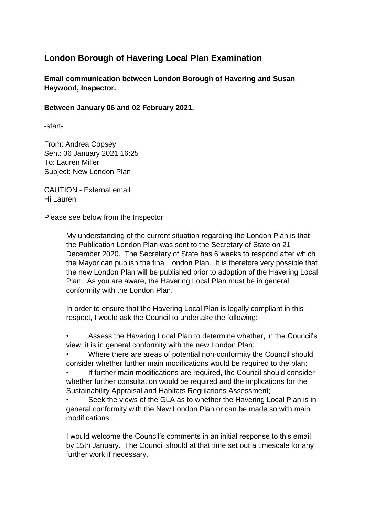## **London Borough of Havering Local Plan Examination**

**Email communication between London Borough of Havering and Susan Heywood, Inspector.** 

## **Between January 06 and 02 February 2021.**

-start-

From: Andrea Copsey Sent: 06 January 2021 16:25 To: Lauren Miller Subject: New London Plan

CAUTION - External email Hi Lauren,

Please see below from the Inspector.

My understanding of the current situation regarding the London Plan is that the Publication London Plan was sent to the Secretary of State on 21 December 2020. The Secretary of State has 6 weeks to respond after which the Mayor can publish the final London Plan. It is therefore very possible that the new London Plan will be published prior to adoption of the Havering Local Plan. As you are aware, the Havering Local Plan must be in general conformity with the London Plan.

In order to ensure that the Havering Local Plan is legally compliant in this respect, I would ask the Council to undertake the following:

• Assess the Havering Local Plan to determine whether, in the Council's view, it is in general conformity with the new London Plan;

• Where there are areas of potential non-conformity the Council should consider whether further main modifications would be required to the plan;

If further main modifications are required, the Council should consider whether further consultation would be required and the implications for the Sustainability Appraisal and Habitats Regulations Assessment;

Seek the views of the GLA as to whether the Havering Local Plan is in general conformity with the New London Plan or can be made so with main modifications.

I would welcome the Council's comments in an initial response to this email by 15th January. The Council should at that time set out a timescale for any further work if necessary.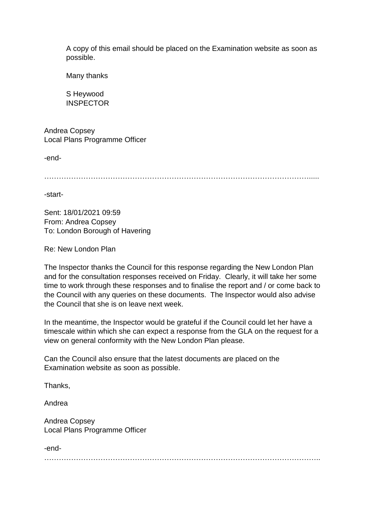A copy of this email should be placed on the Examination website as soon as possible.

Many thanks

S Heywood **INSPECTOR** 

Andrea Copsey Local Plans Programme Officer

-end-

……………………………………………………………………………………………….....

-start-

Sent: 18/01/2021 09:59 From: Andrea Copsey To: London Borough of Havering

Re: New London Plan

The Inspector thanks the Council for this response regarding the New London Plan and for the consultation responses received on Friday. Clearly, it will take her some time to work through these responses and to finalise the report and / or come back to the Council with any queries on these documents. The Inspector would also advise the Council that she is on leave next week.

In the meantime, the Inspector would be grateful if the Council could let her have a timescale within which she can expect a response from the GLA on the request for a view on general conformity with the New London Plan please.

Can the Council also ensure that the latest documents are placed on the Examination website as soon as possible.

Thanks,

Andrea

Andrea Copsey Local Plans Programme Officer

-end-

…………………………………………………………………………………………………..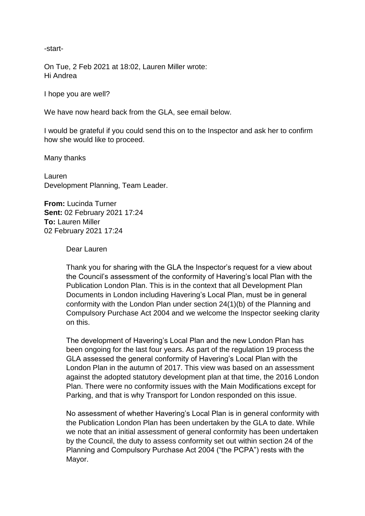-start-

On Tue, 2 Feb 2021 at 18:02, Lauren Miller wrote: Hi Andrea

I hope you are well?

We have now heard back from the GLA, see email below.

I would be grateful if you could send this on to the Inspector and ask her to confirm how she would like to proceed.

Many thanks

Lauren Development Planning, Team Leader.

**From:** Lucinda Turner **Sent:** 02 February 2021 17:24 **To:** Lauren Miller 02 February 2021 17:24

Dear Lauren

Thank you for sharing with the GLA the Inspector's request for a view about the Council's assessment of the conformity of Havering's local Plan with the Publication London Plan. This is in the context that all Development Plan Documents in London including Havering's Local Plan, must be in general conformity with the London Plan under section 24(1)(b) of the Planning and Compulsory Purchase Act 2004 and we welcome the Inspector seeking clarity on this.

The development of Havering's Local Plan and the new London Plan has been ongoing for the last four years. As part of the regulation 19 process the GLA assessed the general conformity of Havering's Local Plan with the London Plan in the autumn of 2017. This view was based on an assessment against the adopted statutory development plan at that time, the 2016 London Plan. There were no conformity issues with the Main Modifications except for Parking, and that is why Transport for London responded on this issue.

No assessment of whether Havering's Local Plan is in general conformity with the Publication London Plan has been undertaken by the GLA to date. While we note that an initial assessment of general conformity has been undertaken by the Council, the duty to assess conformity set out within section 24 of the Planning and Compulsory Purchase Act 2004 ("the PCPA") rests with the Mayor.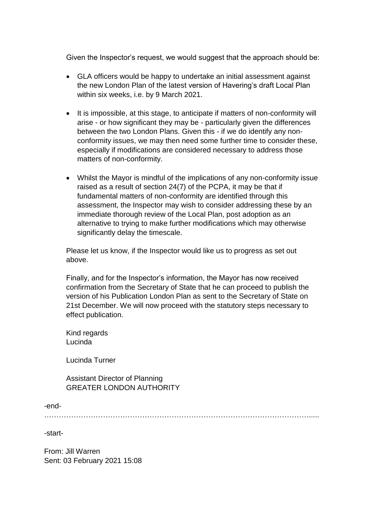Given the Inspector's request, we would suggest that the approach should be:

- GLA officers would be happy to undertake an initial assessment against the new London Plan of the latest version of Havering's draft Local Plan within six weeks, i.e. by 9 March 2021.
- It is impossible, at this stage, to anticipate if matters of non-conformity will arise - or how significant they may be - particularly given the differences between the two London Plans. Given this - if we do identify any nonconformity issues, we may then need some further time to consider these, especially if modifications are considered necessary to address those matters of non-conformity.
- Whilst the Mayor is mindful of the implications of any non-conformity issue raised as a result of section 24(7) of the PCPA, it may be that if fundamental matters of non-conformity are identified through this assessment, the Inspector may wish to consider addressing these by an immediate thorough review of the Local Plan, post adoption as an alternative to trying to make further modifications which may otherwise significantly delay the timescale.

Please let us know, if the Inspector would like us to progress as set out above.

Finally, and for the Inspector's information, the Mayor has now received confirmation from the Secretary of State that he can proceed to publish the version of his Publication London Plan as sent to the Secretary of State on 21st December. We will now proceed with the statutory steps necessary to effect publication.

Kind regards Lucinda

Lucinda Turner

Assistant Director of Planning GREATER LONDON AUTHORITY

-end-

……………………………………………………………………………………………….....

-start-

From: Jill Warren Sent: 03 February 2021 15:08